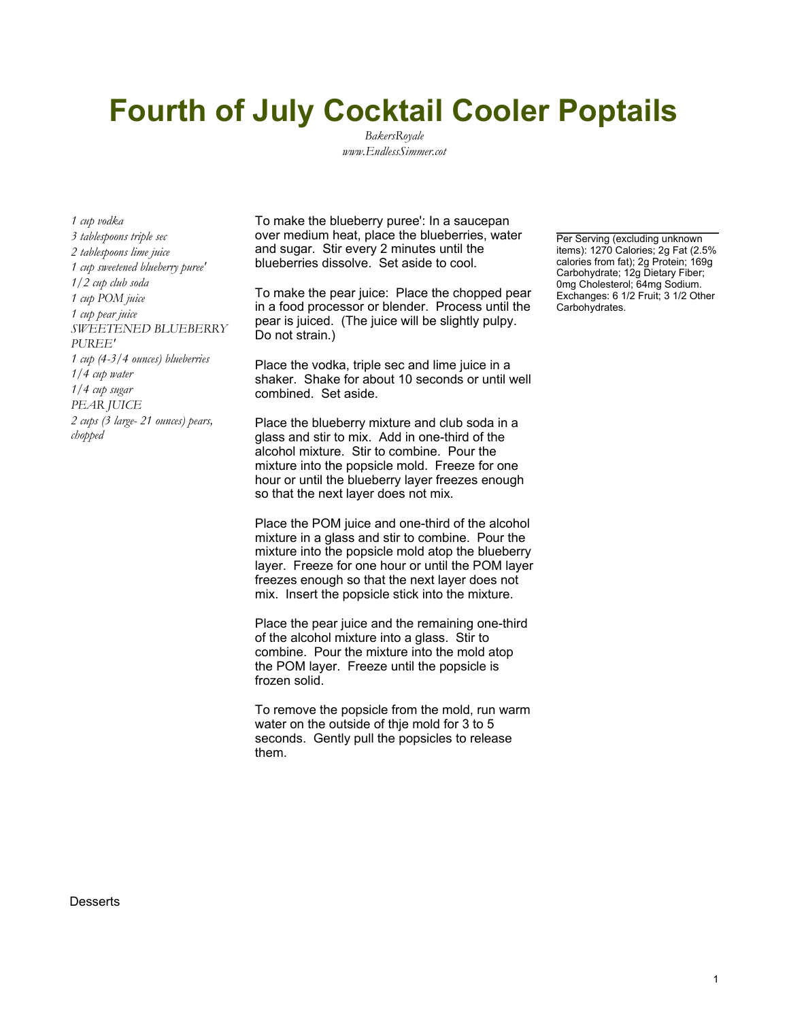## **Fourth of July Cocktail Cooler Poptails**

*BakersRoyale www.EndlessSimmer.cot*

*1 cup vodka*

*3 tablespoons triple sec 2 tablespoons lime juice 1 cup sweetened blueberry puree' 1/2 cup club soda 1 cup POM juice 1 cup pear juice SWEETENED BLUEBERRY PUREE' 1 cup (4-3/4 ounces) blueberries 1/4 cup water 1/4 cup sugar PEAR JUICE 2 cups (3 large- 21 ounces) pears, chopped*

To make the blueberry puree': In a saucepan over medium heat, place the blueberries, water and sugar. Stir every 2 minutes until the blueberries dissolve. Set aside to cool.

To make the pear juice: Place the chopped pear in a food processor or blender. Process until the pear is juiced. (The juice will be slightly pulpy. Do not strain.)

Place the vodka, triple sec and lime juice in a shaker. Shake for about 10 seconds or until well combined. Set aside.

Place the blueberry mixture and club soda in a glass and stir to mix. Add in one-third of the alcohol mixture. Stir to combine. Pour the mixture into the popsicle mold. Freeze for one hour or until the blueberry layer freezes enough so that the next layer does not mix.

Place the POM juice and one-third of the alcohol mixture in a glass and stir to combine. Pour the mixture into the popsicle mold atop the blueberry layer. Freeze for one hour or until the POM layer freezes enough so that the next layer does not mix. Insert the popsicle stick into the mixture.

Place the pear juice and the remaining one-third of the alcohol mixture into a glass. Stir to combine. Pour the mixture into the mold atop the POM layer. Freeze until the popsicle is frozen solid.

To remove the popsicle from the mold, run warm water on the outside of thje mold for 3 to 5 seconds. Gently pull the popsicles to release them.

Per Serving (excluding unknown items): 1270 Calories; 2g Fat (2.5% calories from fat); 2g Protein; 169g Carbohydrate; 12g Dietary Fiber; 0mg Cholesterol; 64mg Sodium. Exchanges: 6 1/2 Fruit; 3 1/2 Other Carbohydrates.